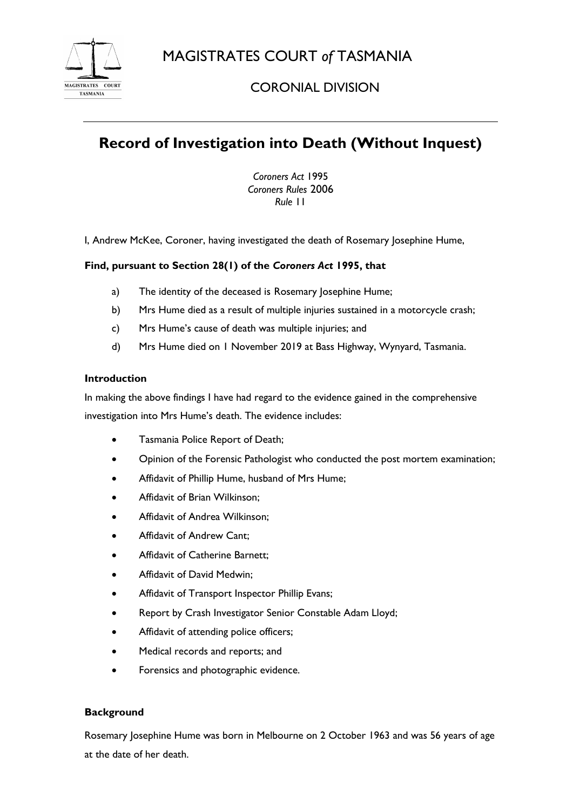MAGISTRATES COURT *of* TASMANIA



# CORONIAL DIVISION

# **Record of Investigation into Death (Without Inquest)**

*Coroners Act* 1995 *Coroners Rules* 2006 *Rule* 11

I, Andrew McKee, Coroner, having investigated the death of Rosemary Josephine Hume,

## **Find, pursuant to Section 28(1) of the** *Coroners Act* **1995, that**

- a) The identity of the deceased is Rosemary Josephine Hume;
- b) Mrs Hume died as a result of multiple injuries sustained in a motorcycle crash;
- c) Mrs Hume's cause of death was multiple injuries; and
- d) Mrs Hume died on 1 November 2019 at Bass Highway, Wynyard, Tasmania.

### **Introduction**

In making the above findings I have had regard to the evidence gained in the comprehensive investigation into Mrs Hume's death. The evidence includes:

- Tasmania Police Report of Death;
- Opinion of the Forensic Pathologist who conducted the post mortem examination;
- Affidavit of Phillip Hume, husband of Mrs Hume;
- Affidavit of Brian Wilkinson;
- Affidavit of Andrea Wilkinson;
- Affidavit of Andrew Cant;
- Affidavit of Catherine Barnett;
- Affidavit of David Medwin;
- Affidavit of Transport Inspector Phillip Evans;
- Report by Crash Investigator Senior Constable Adam Lloyd;
- Affidavit of attending police officers;
- Medical records and reports; and
- Forensics and photographic evidence.

### **Background**

Rosemary Josephine Hume was born in Melbourne on 2 October 1963 and was 56 years of age at the date of her death.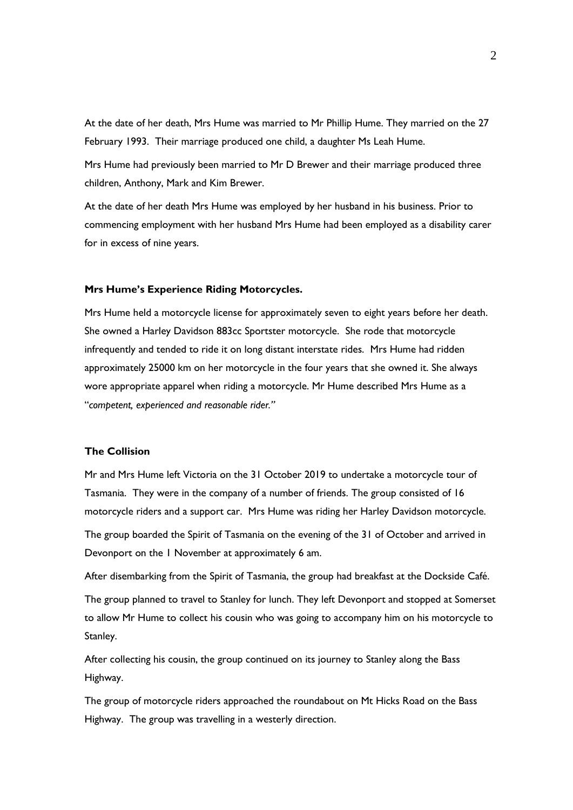At the date of her death, Mrs Hume was married to Mr Phillip Hume. They married on the 27 February 1993. Their marriage produced one child, a daughter Ms Leah Hume.

Mrs Hume had previously been married to Mr D Brewer and their marriage produced three children, Anthony, Mark and Kim Brewer.

At the date of her death Mrs Hume was employed by her husband in his business. Prior to commencing employment with her husband Mrs Hume had been employed as a disability carer for in excess of nine years.

### **Mrs Hume's Experience Riding Motorcycles.**

Mrs Hume held a motorcycle license for approximately seven to eight years before her death. She owned a Harley Davidson 883cc Sportster motorcycle. She rode that motorcycle infrequently and tended to ride it on long distant interstate rides. Mrs Hume had ridden approximately 25000 km on her motorcycle in the four years that she owned it. She always wore appropriate apparel when riding a motorcycle. Mr Hume described Mrs Hume as a "*competent, experienced and reasonable rider."*

### **The Collision**

Mr and Mrs Hume left Victoria on the 31 October 2019 to undertake a motorcycle tour of Tasmania. They were in the company of a number of friends. The group consisted of 16 motorcycle riders and a support car. Mrs Hume was riding her Harley Davidson motorcycle.

The group boarded the Spirit of Tasmania on the evening of the 31 of October and arrived in Devonport on the 1 November at approximately 6 am.

After disembarking from the Spirit of Tasmania, the group had breakfast at the Dockside Café. The group planned to travel to Stanley for lunch. They left Devonport and stopped at Somerset to allow Mr Hume to collect his cousin who was going to accompany him on his motorcycle to Stanley.

After collecting his cousin, the group continued on its journey to Stanley along the Bass Highway.

The group of motorcycle riders approached the roundabout on Mt Hicks Road on the Bass Highway. The group was travelling in a westerly direction.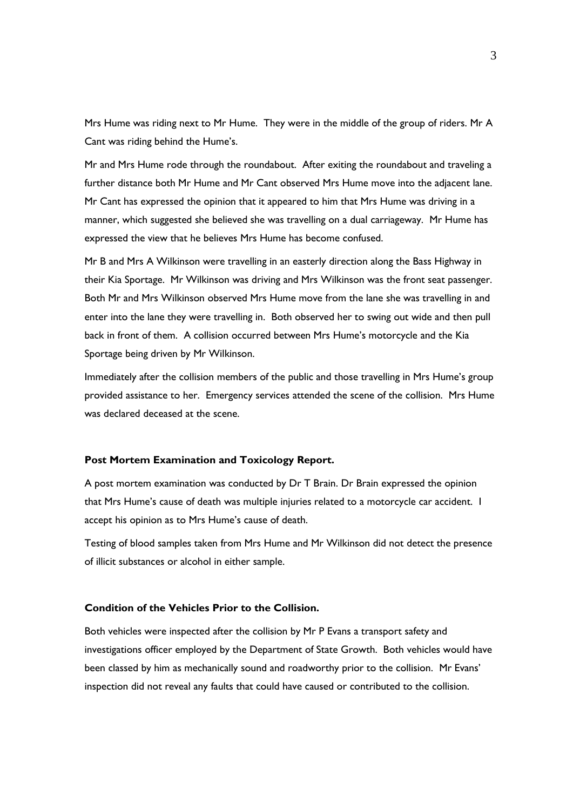Mrs Hume was riding next to Mr Hume. They were in the middle of the group of riders. Mr A Cant was riding behind the Hume's.

Mr and Mrs Hume rode through the roundabout. After exiting the roundabout and traveling a further distance both Mr Hume and Mr Cant observed Mrs Hume move into the adjacent lane. Mr Cant has expressed the opinion that it appeared to him that Mrs Hume was driving in a manner, which suggested she believed she was travelling on a dual carriageway. Mr Hume has expressed the view that he believes Mrs Hume has become confused.

Mr B and Mrs A Wilkinson were travelling in an easterly direction along the Bass Highway in their Kia Sportage. Mr Wilkinson was driving and Mrs Wilkinson was the front seat passenger. Both Mr and Mrs Wilkinson observed Mrs Hume move from the lane she was travelling in and enter into the lane they were travelling in. Both observed her to swing out wide and then pull back in front of them. A collision occurred between Mrs Hume's motorcycle and the Kia Sportage being driven by Mr Wilkinson.

Immediately after the collision members of the public and those travelling in Mrs Hume's group provided assistance to her. Emergency services attended the scene of the collision. Mrs Hume was declared deceased at the scene.

#### **Post Mortem Examination and Toxicology Report.**

A post mortem examination was conducted by Dr T Brain. Dr Brain expressed the opinion that Mrs Hume's cause of death was multiple injuries related to a motorcycle car accident. I accept his opinion as to Mrs Hume's cause of death.

Testing of blood samples taken from Mrs Hume and Mr Wilkinson did not detect the presence of illicit substances or alcohol in either sample.

#### **Condition of the Vehicles Prior to the Collision.**

Both vehicles were inspected after the collision by Mr P Evans a transport safety and investigations officer employed by the Department of State Growth. Both vehicles would have been classed by him as mechanically sound and roadworthy prior to the collision. Mr Evans' inspection did not reveal any faults that could have caused or contributed to the collision.